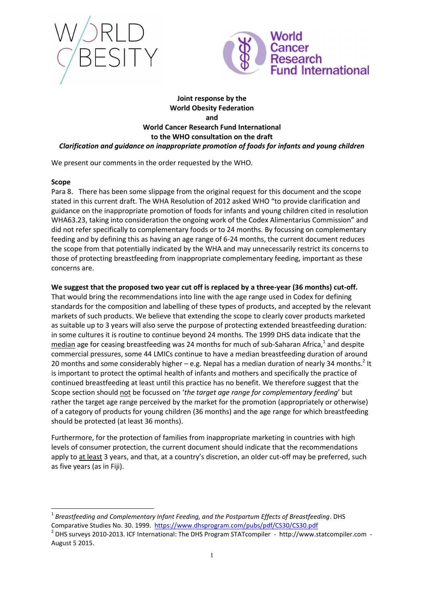



# **Joint response by the World Obesity Federation and World Cancer Research Fund International to the WHO consultation on the draft** *Clarification and guidance on inappropriate promotion of foods for infants and young children*

We present our comments in the order requested by the WHO.

## **Scope**

-

Para 8. There has been some slippage from the original request for this document and the scope stated in this current draft. The WHA Resolution of 2012 asked WHO "to provide clarification and guidance on the inappropriate promotion of foods for infants and young children cited in resolution WHA63.23, taking into consideration the ongoing work of the Codex Alimentarius Commission" and did not refer specifically to complementary foods or to 24 months. By focussing on complementary feeding and by defining this as having an age range of 6-24 months, the current document reduces the scope from that potentially indicated by the WHA and may unnecessarily restrict its concerns to those of protecting breastfeeding from inappropriate complementary feeding, important as these concerns are.

# **We suggest that the proposed two year cut off is replaced by a three-year (36 months) cut-off.**

That would bring the recommendations into line with the age range used in Codex for defining standards for the composition and labelling of these types of products, and accepted by the relevant markets of such products. We believe that extending the scope to clearly cover products marketed as suitable up to 3 years will also serve the purpose of protecting extended breastfeeding duration: in some cultures it is routine to continue beyond 24 months. The 1999 DHS data indicate that the median age for ceasing breastfeeding was 24 months for much of sub-Saharan Africa,<sup>1</sup> and despite commercial pressures, some 44 LMICs continue to have a median breastfeeding duration of around 20 months and some considerably higher  $-$  e.g. Nepal has a median duration of nearly 34 months.<sup>2</sup> It is important to protect the optimal health of infants and mothers and specifically the practice of continued breastfeeding at least until this practice has no benefit. We therefore suggest that the Scope section should not be focussed on '*the target age range for complementary feeding*' but rather the target age range perceived by the market for the promotion (appropriately or otherwise) of a category of products for young children (36 months) and the age range for which breastfeeding should be protected (at least 36 months).

Furthermore, for the protection of families from inappropriate marketing in countries with high levels of consumer protection, the current document should indicate that the recommendations apply to at least 3 years, and that, at a country's discretion, an older cut-off may be preferred, such as five years (as in Fiji).

<sup>1</sup> *Breastfeeding and Complementary Infant Feeding, and the Postpartum Effects of Breastfeeding*. DHS Comparative Studies No. 30. 1999. <https://www.dhsprogram.com/pubs/pdf/CS30/CS30.pdf>

<sup>&</sup>lt;sup>2</sup> DHS surveys 2010-2013. ICF International: The DHS Program STATcompiler - http://www.statcompiler.com -August 5 2015.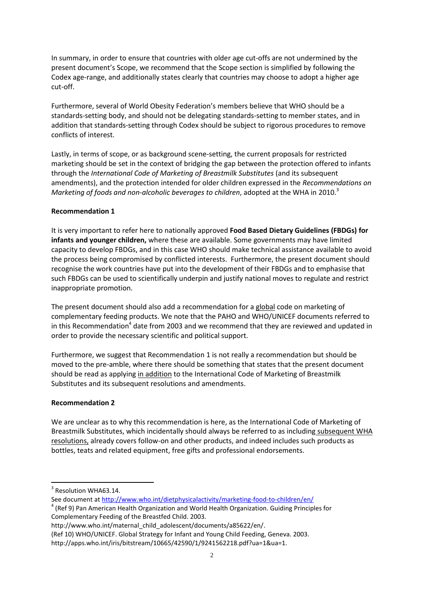In summary, in order to ensure that countries with older age cut-offs are not undermined by the present document's Scope, we recommend that the Scope section is simplified by following the Codex age-range, and additionally states clearly that countries may choose to adopt a higher age cut-off.

Furthermore, several of World Obesity Federation's members believe that WHO should be a standards-setting body, and should not be delegating standards-setting to member states, and in addition that standards-setting through Codex should be subject to rigorous procedures to remove conflicts of interest.

Lastly, in terms of scope, or as background scene-setting, the current proposals for restricted marketing should be set in the context of bridging the gap between the protection offered to infants through the *International Code of Marketing of Breastmilk Substitutes* (and its subsequent amendments), and the protection intended for older children expressed in the *Recommendations on Marketing of foods and non-alcoholic beverages to children, adopted at the WHA in 2010.*<sup>3</sup>

## **Recommendation 1**

It is very important to refer here to nationally approved **Food Based Dietary Guidelines (FBDGs) for infants and younger children,** where these are available. Some governments may have limited capacity to develop FBDGs, and in this case WHO should make technical assistance available to avoid the process being compromised by conflicted interests. Furthermore, the present document should recognise the work countries have put into the development of their FBDGs and to emphasise that such FBDGs can be used to scientifically underpin and justify national moves to regulate and restrict inappropriate promotion.

The present document should also add a recommendation for a global code on marketing of complementary feeding products. We note that the PAHO and WHO/UNICEF documents referred to in this Recommendation<sup>4</sup> date from 2003 and we recommend that they are reviewed and updated in order to provide the necessary scientific and political support.

Furthermore, we suggest that Recommendation 1 is not really a recommendation but should be moved to the pre-amble, where there should be something that states that the present document should be read as applying in addition to the International Code of Marketing of Breastmilk Substitutes and its subsequent resolutions and amendments.

#### **Recommendation 2**

We are unclear as to why this recommendation is here, as the International Code of Marketing of Breastmilk Substitutes, which incidentally should always be referred to as including subsequent WHA resolutions, already covers follow-on and other products, and indeed includes such products as bottles, teats and related equipment, free gifts and professional endorsements.

1

http://www.who.int/maternal\_child\_adolescent/documents/a85622/en/.

<sup>&</sup>lt;sup>3</sup> Resolution WHA63.14.

See document at<http://www.who.int/dietphysicalactivity/marketing-food-to-children/en/>

 $4$  (Ref 9) Pan American Health Organization and World Health Organization. Guiding Principles for Complementary Feeding of the Breastfed Child. 2003.

<sup>(</sup>Ref 10) WHO/UNICEF. Global Strategy for Infant and Young Child Feeding, Geneva. 2003.

http://apps.who.int/iris/bitstream/10665/42590/1/9241562218.pdf?ua=1&ua=1.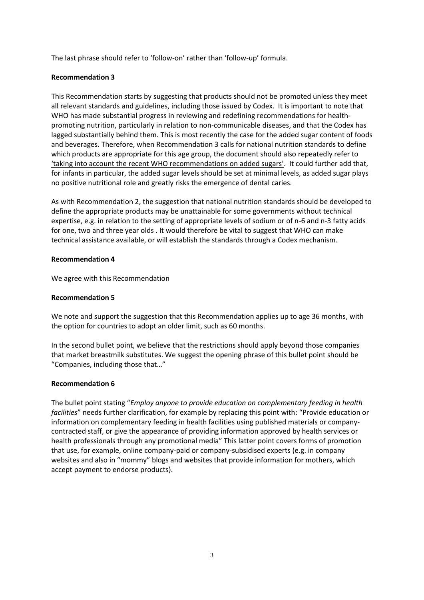The last phrase should refer to 'follow-on' rather than 'follow-up' formula.

## **Recommendation 3**

This Recommendation starts by suggesting that products should not be promoted unless they meet all relevant standards and guidelines, including those issued by Codex. It is important to note that WHO has made substantial progress in reviewing and redefining recommendations for healthpromoting nutrition, particularly in relation to non-communicable diseases, and that the Codex has lagged substantially behind them. This is most recently the case for the added sugar content of foods and beverages. Therefore, when Recommendation 3 calls for national nutrition standards to define which products are appropriate for this age group, the document should also repeatedly refer to 'taking into account the recent WHO recommendations on added sugars'. It could further add that, for infants in particular, the added sugar levels should be set at minimal levels, as added sugar plays no positive nutritional role and greatly risks the emergence of dental caries.

As with Recommendation 2, the suggestion that national nutrition standards should be developed to define the appropriate products may be unattainable for some governments without technical expertise, e.g. in relation to the setting of appropriate levels of sodium or of n-6 and n-3 fatty acids for one, two and three year olds . It would therefore be vital to suggest that WHO can make technical assistance available, or will establish the standards through a Codex mechanism.

#### **Recommendation 4**

We agree with this Recommendation

## **Recommendation 5**

We note and support the suggestion that this Recommendation applies up to age 36 months, with the option for countries to adopt an older limit, such as 60 months.

In the second bullet point, we believe that the restrictions should apply beyond those companies that market breastmilk substitutes. We suggest the opening phrase of this bullet point should be "Companies, including those that…"

#### **Recommendation 6**

The bullet point stating "*Employ anyone to provide education on complementary feeding in health facilities*" needs further clarification, for example by replacing this point with: "Provide education or information on complementary feeding in health facilities using published materials or companycontracted staff, or give the appearance of providing information approved by health services or health professionals through any promotional media" This latter point covers forms of promotion that use, for example, online company-paid or company-subsidised experts (e.g. in company websites and also in "mommy" blogs and websites that provide information for mothers, which accept payment to endorse products).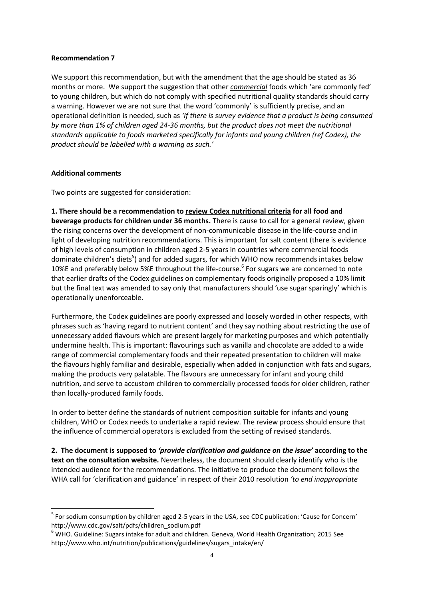#### **Recommendation 7**

We support this recommendation, but with the amendment that the age should be stated as 36 months or more. We support the suggestion that other *commercial* foods which 'are commonly fed' to young children, but which do not comply with specified nutritional quality standards should carry a warning. However we are not sure that the word 'commonly' is sufficiently precise, and an operational definition is needed, such as *'If there is survey evidence that a product is being consumed by more than 1% of children aged 24-36 months, but the product does not meet the nutritional standards applicable to foods marketed specifically for infants and young children (ref Codex), the product should be labelled with a warning as such.'*

#### **Additional comments**

-

Two points are suggested for consideration:

**1. There should be a recommendation to review Codex nutritional criteria for all food and beverage products for children under 36 months.** There is cause to call for a general review, given the rising concerns over the development of non-communicable disease in the life-course and in light of developing nutrition recommendations. This is important for salt content (there is evidence of high levels of consumption in children aged 2-5 years in countries where commercial foods dominate children's diets<sup>5</sup>) and for added sugars, for which WHO now recommends intakes below 10%E and preferably below 5%E throughout the life-course. 6 For sugars we are concerned to note that earlier drafts of the Codex guidelines on complementary foods originally proposed a 10% limit but the final text was amended to say only that manufacturers should 'use sugar sparingly' which is operationally unenforceable.

Furthermore, the Codex guidelines are poorly expressed and loosely worded in other respects, with phrases such as 'having regard to nutrient content' and they say nothing about restricting the use of unnecessary added flavours which are present largely for marketing purposes and which potentially undermine health. This is important: flavourings such as vanilla and chocolate are added to a wide range of commercial complementary foods and their repeated presentation to children will make the flavours highly familiar and desirable, especially when added in conjunction with fats and sugars, making the products very palatable. The flavours are unnecessary for infant and young child nutrition, and serve to accustom children to commercially processed foods for older children, rather than locally-produced family foods.

In order to better define the standards of nutrient composition suitable for infants and young children, WHO or Codex needs to undertake a rapid review. The review process should ensure that the influence of commercial operators is excluded from the setting of revised standards.

**2. The document is supposed to** *'provide clarification and guidance on the issue'* **according to the text on the consultation website.** Nevertheless, the document should clearly identify who is the intended audience for the recommendations. The initiative to produce the document follows the WHA call for 'clarification and guidance' in respect of their 2010 resolution *'to end inappropriate* 

<sup>&</sup>lt;sup>5</sup> For sodium consumption by children aged 2-5 years in the USA, see CDC publication: 'Cause for Concern' http://www.cdc.gov/salt/pdfs/children\_sodium.pdf

<sup>6</sup> WHO. Guideline: Sugars intake for adult and children. Geneva, World Health Organization; 2015 See http://www.who.int/nutrition/publications/guidelines/sugars\_intake/en/